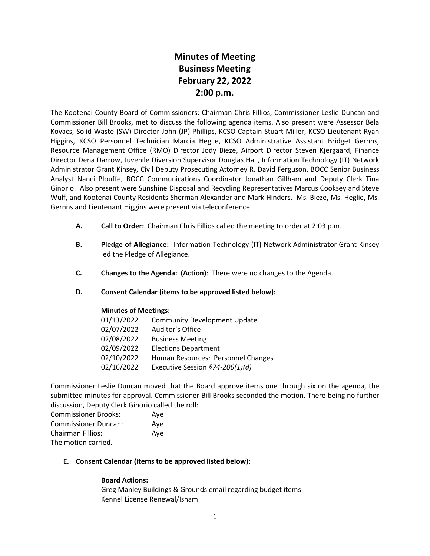# **Minutes of Meeting Business Meeting February 22, 2022 2:00 p.m.**

The Kootenai County Board of Commissioners: Chairman Chris Fillios, Commissioner Leslie Duncan and Commissioner Bill Brooks, met to discuss the following agenda items. Also present were Assessor Bela Kovacs, Solid Waste (SW) Director John (JP) Phillips, KCSO Captain Stuart Miller, KCSO Lieutenant Ryan Higgins, KCSO Personnel Technician Marcia Heglie, KCSO Administrative Assistant Bridget Gernns, Resource Management Office (RMO) Director Jody Bieze, Airport Director Steven Kjergaard, Finance Director Dena Darrow, Juvenile Diversion Supervisor Douglas Hall, Information Technology (IT) Network Administrator Grant Kinsey, Civil Deputy Prosecuting Attorney R. David Ferguson, BOCC Senior Business Analyst Nanci Plouffe, BOCC Communications Coordinator Jonathan Gillham and Deputy Clerk Tina Ginorio. Also present were Sunshine Disposal and Recycling Representatives Marcus Cooksey and Steve Wulf, and Kootenai County Residents Sherman Alexander and Mark Hinders. Ms. Bieze, Ms. Heglie, Ms. Gernns and Lieutenant Higgins were present via teleconference.

- **A. Call to Order:** Chairman Chris Fillios called the meeting to order at 2:03 p.m.
- **B. Pledge of Allegiance:** Information Technology (IT) Network Administrator Grant Kinsey led the Pledge of Allegiance.
- **C. Changes to the Agenda: (Action)**: There were no changes to the Agenda.
- **D. Consent Calendar (items to be approved listed below):**

### **Minutes of Meetings:**

| 01/13/2022 | <b>Community Development Update</b> |
|------------|-------------------------------------|
| 02/07/2022 | Auditor's Office                    |
| 02/08/2022 | <b>Business Meeting</b>             |
| 02/09/2022 | <b>Elections Department</b>         |
| 02/10/2022 | Human Resources: Personnel Changes  |
| 02/16/2022 | Executive Session §74-206(1)(d)     |

Commissioner Leslie Duncan moved that the Board approve items one through six on the agenda, the submitted minutes for approval. Commissioner Bill Brooks seconded the motion. There being no further discussion, Deputy Clerk Ginorio called the roll:

| <b>Commissioner Brooks:</b> | Ave |
|-----------------------------|-----|
| <b>Commissioner Duncan:</b> | Ave |
| Chairman Fillios:           | Ave |
| The motion carried.         |     |

### **E. Consent Calendar (items to be approved listed below):**

# **Board Actions:**

Greg Manley Buildings & Grounds email regarding budget items Kennel License Renewal/Isham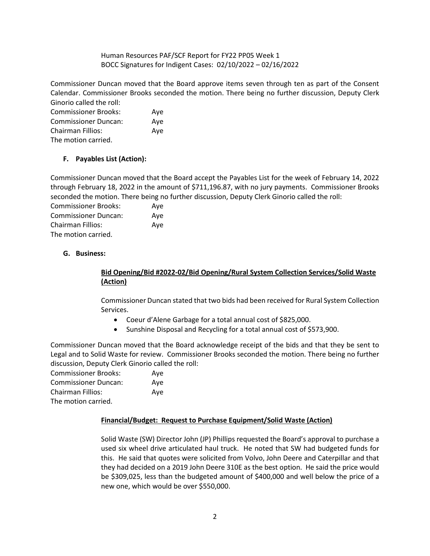# Human Resources PAF/SCF Report for FY22 PP05 Week 1 BOCC Signatures for Indigent Cases: 02/10/2022 – 02/16/2022

Commissioner Duncan moved that the Board approve items seven through ten as part of the Consent Calendar. Commissioner Brooks seconded the motion. There being no further discussion, Deputy Clerk Ginorio called the roll:

| <b>Commissioner Brooks:</b> | Aye |
|-----------------------------|-----|
| <b>Commissioner Duncan:</b> | Aye |
| Chairman Fillios:           | Aye |
| The motion carried.         |     |

# **F. Payables List (Action):**

Commissioner Duncan moved that the Board accept the Payables List for the week of February 14, 2022 through February 18, 2022 in the amount of \$711,196.87, with no jury payments. Commissioner Brooks seconded the motion. There being no further discussion, Deputy Clerk Ginorio called the roll:

| Commissioner Brooks: | Ave |
|----------------------|-----|
| Commissioner Duncan: | Ave |
| Chairman Fillios:    | Ave |
| The motion carried.  |     |

# **G. Business:**

# **Bid Opening/Bid #2022-02/Bid Opening/Rural System Collection Services/Solid Waste (Action)**

Commissioner Duncan stated that two bids had been received for Rural System Collection Services.

- Coeur d'Alene Garbage for a total annual cost of \$825,000.
- Sunshine Disposal and Recycling for a total annual cost of \$573,900.

Commissioner Duncan moved that the Board acknowledge receipt of the bids and that they be sent to Legal and to Solid Waste for review. Commissioner Brooks seconded the motion. There being no further discussion, Deputy Clerk Ginorio called the roll:

Commissioner Brooks: Aye Commissioner Duncan: Aye Chairman Fillios: Aye The motion carried.

### **Financial/Budget: Request to Purchase Equipment/Solid Waste (Action)**

Solid Waste (SW) Director John (JP) Phillips requested the Board's approval to purchase a used six wheel drive articulated haul truck. He noted that SW had budgeted funds for this. He said that quotes were solicited from Volvo, John Deere and Caterpillar and that they had decided on a 2019 John Deere 310E as the best option. He said the price would be \$309,025, less than the budgeted amount of \$400,000 and well below the price of a new one, which would be over \$550,000.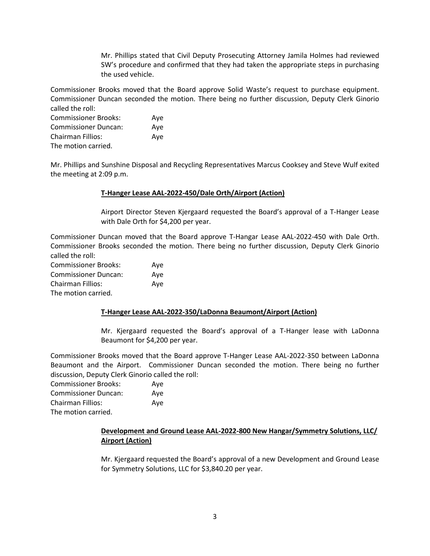Mr. Phillips stated that Civil Deputy Prosecuting Attorney Jamila Holmes had reviewed SW's procedure and confirmed that they had taken the appropriate steps in purchasing the used vehicle.

Commissioner Brooks moved that the Board approve Solid Waste's request to purchase equipment. Commissioner Duncan seconded the motion. There being no further discussion, Deputy Clerk Ginorio called the roll:

Commissioner Brooks: Aye Commissioner Duncan: Aye Chairman Fillios: Aye The motion carried.

Mr. Phillips and Sunshine Disposal and Recycling Representatives Marcus Cooksey and Steve Wulf exited the meeting at 2:09 p.m.

### **T-Hanger Lease AAL-2022-450/Dale Orth/Airport (Action)**

Airport Director Steven Kjergaard requested the Board's approval of a T-Hanger Lease with Dale Orth for \$4,200 per year.

Commissioner Duncan moved that the Board approve T-Hangar Lease AAL-2022-450 with Dale Orth. Commissioner Brooks seconded the motion. There being no further discussion, Deputy Clerk Ginorio called the roll:

Commissioner Brooks: Aye Commissioner Duncan: Aye Chairman Fillios: Aye The motion carried.

### **T-Hanger Lease AAL-2022-350/LaDonna Beaumont/Airport (Action)**

Mr. Kjergaard requested the Board's approval of a T-Hanger lease with LaDonna Beaumont for \$4,200 per year.

Commissioner Brooks moved that the Board approve T-Hanger Lease AAL-2022-350 between LaDonna Beaumont and the Airport. Commissioner Duncan seconded the motion. There being no further discussion, Deputy Clerk Ginorio called the roll:

| <b>Commissioner Brooks:</b> | Ave |
|-----------------------------|-----|
| Commissioner Duncan:        | Ave |
| Chairman Fillios:           | Ave |
| The motion carried.         |     |

# **Development and Ground Lease AAL-2022-800 New Hangar/Symmetry Solutions, LLC/ Airport (Action)**

Mr. Kjergaard requested the Board's approval of a new Development and Ground Lease for Symmetry Solutions, LLC for \$3,840.20 per year.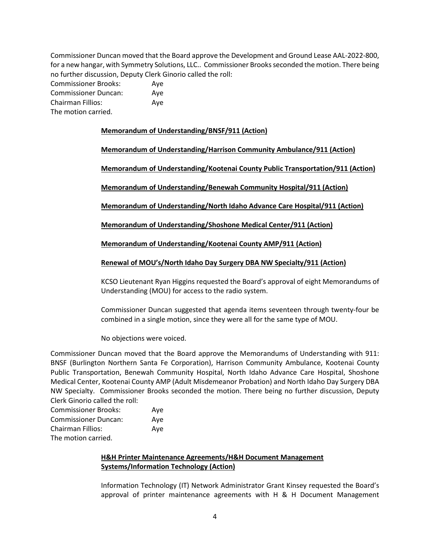Commissioner Duncan moved that the Board approve the Development and Ground Lease AAL-2022-800, for a new hangar, with Symmetry Solutions, LLC.. Commissioner Brooks seconded the motion. There being no further discussion, Deputy Clerk Ginorio called the roll:

| <b>Commissioner Brooks:</b> | Aye |
|-----------------------------|-----|
| <b>Commissioner Duncan:</b> | Aye |
| Chairman Fillios:           | Ave |
| The motion carried.         |     |

### **Memorandum of Understanding/BNSF/911 (Action)**

**Memorandum of Understanding/Harrison Community Ambulance/911 (Action)**

**Memorandum of Understanding/Kootenai County Public Transportation/911 (Action)**

**Memorandum of Understanding/Benewah Community Hospital/911 (Action)**

**Memorandum of Understanding/North Idaho Advance Care Hospital/911 (Action)**

**Memorandum of Understanding/Shoshone Medical Center/911 (Action)**

**Memorandum of Understanding/Kootenai County AMP/911 (Action)**

**Renewal of MOU's/North Idaho Day Surgery DBA NW Specialty/911 (Action)**

KCSO Lieutenant Ryan Higgins requested the Board's approval of eight Memorandums of Understanding (MOU) for access to the radio system.

Commissioner Duncan suggested that agenda items seventeen through twenty-four be combined in a single motion, since they were all for the same type of MOU.

No objections were voiced.

Commissioner Duncan moved that the Board approve the Memorandums of Understanding with 911: BNSF (Burlington Northern Santa Fe Corporation), Harrison Community Ambulance, Kootenai County Public Transportation, Benewah Community Hospital, North Idaho Advance Care Hospital, Shoshone Medical Center, Kootenai County AMP (Adult Misdemeanor Probation) and North Idaho Day Surgery DBA NW Specialty. Commissioner Brooks seconded the motion. There being no further discussion, Deputy Clerk Ginorio called the roll:

| <b>Commissioner Brooks:</b> | Aye |
|-----------------------------|-----|
| <b>Commissioner Duncan:</b> | Ave |
| Chairman Fillios:           | Aye |
| The motion carried.         |     |

# **H&H Printer Maintenance Agreements/H&H Document Management Systems/Information Technology (Action)**

Information Technology (IT) Network Administrator Grant Kinsey requested the Board's approval of printer maintenance agreements with H & H Document Management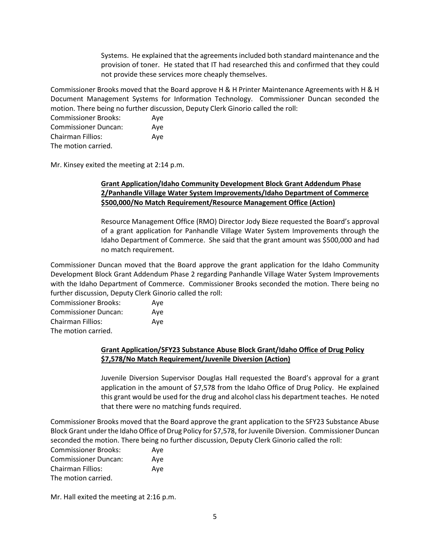Systems. He explained that the agreements included both standard maintenance and the provision of toner. He stated that IT had researched this and confirmed that they could not provide these services more cheaply themselves.

Commissioner Brooks moved that the Board approve H & H Printer Maintenance Agreements with H & H Document Management Systems for Information Technology. Commissioner Duncan seconded the motion. There being no further discussion, Deputy Clerk Ginorio called the roll:

Commissioner Brooks: Aye Commissioner Duncan: Aye Chairman Fillios: Aye The motion carried.

Mr. Kinsey exited the meeting at 2:14 p.m.

# **Grant Application/Idaho Community Development Block Grant Addendum Phase 2/Panhandle Village Water System Improvements/Idaho Department of Commerce \$500,000/No Match Requirement/Resource Management Office (Action)**

Resource Management Office (RMO) Director Jody Bieze requested the Board's approval of a grant application for Panhandle Village Water System Improvements through the Idaho Department of Commerce. She said that the grant amount was \$500,000 and had no match requirement.

Commissioner Duncan moved that the Board approve the grant application for the Idaho Community Development Block Grant Addendum Phase 2 regarding Panhandle Village Water System Improvements with the Idaho Department of Commerce. Commissioner Brooks seconded the motion. There being no further discussion, Deputy Clerk Ginorio called the roll:

| <b>Commissioner Brooks:</b> | Ave |
|-----------------------------|-----|
| <b>Commissioner Duncan:</b> | Ave |
| <b>Chairman Fillios:</b>    | Aye |
| The motion carried.         |     |

# **Grant Application/SFY23 Substance Abuse Block Grant/Idaho Office of Drug Policy \$7,578/No Match Requirement/Juvenile Diversion (Action)**

Juvenile Diversion Supervisor Douglas Hall requested the Board's approval for a grant application in the amount of \$7,578 from the Idaho Office of Drug Policy. He explained this grant would be used for the drug and alcohol class his department teaches. He noted that there were no matching funds required.

Commissioner Brooks moved that the Board approve the grant application to the SFY23 Substance Abuse Block Grant under the Idaho Office of Drug Policy for \$7,578, for Juvenile Diversion. Commissioner Duncan seconded the motion. There being no further discussion, Deputy Clerk Ginorio called the roll:

| <b>Commissioner Brooks:</b> | Aye |
|-----------------------------|-----|
| <b>Commissioner Duncan:</b> | Aye |
| Chairman Fillios:           | Ave |
| The motion carried.         |     |

Mr. Hall exited the meeting at 2:16 p.m.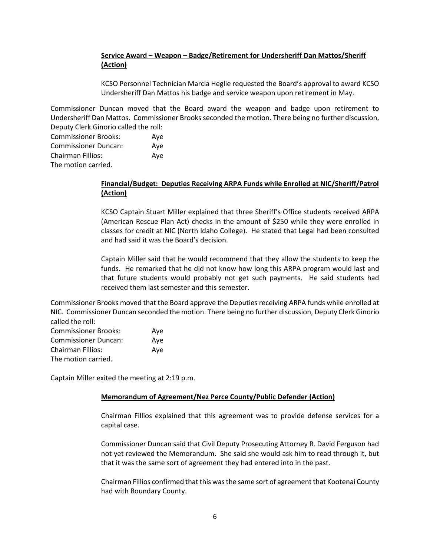# **Service Award – Weapon – Badge/Retirement for Undersheriff Dan Mattos/Sheriff (Action)**

KCSO Personnel Technician Marcia Heglie requested the Board's approval to award KCSO Undersheriff Dan Mattos his badge and service weapon upon retirement in May.

Commissioner Duncan moved that the Board award the weapon and badge upon retirement to Undersheriff Dan Mattos. Commissioner Brooks seconded the motion. There being no further discussion, Deputy Clerk Ginorio called the roll:

| <b>Commissioner Brooks:</b> | Aye |
|-----------------------------|-----|
| <b>Commissioner Duncan:</b> | Aye |
| Chairman Fillios:           | Ave |
| The motion carried.         |     |

# **Financial/Budget: Deputies Receiving ARPA Funds while Enrolled at NIC/Sheriff/Patrol (Action)**

KCSO Captain Stuart Miller explained that three Sheriff's Office students received ARPA (American Rescue Plan Act) checks in the amount of \$250 while they were enrolled in classes for credit at NIC (North Idaho College). He stated that Legal had been consulted and had said it was the Board's decision.

Captain Miller said that he would recommend that they allow the students to keep the funds. He remarked that he did not know how long this ARPA program would last and that future students would probably not get such payments. He said students had received them last semester and this semester.

Commissioner Brooks moved that the Board approve the Deputies receiving ARPA funds while enrolled at NIC. Commissioner Duncan seconded the motion. There being no further discussion, Deputy Clerk Ginorio called the roll:

| <b>Commissioner Brooks:</b> | Ave |
|-----------------------------|-----|
| <b>Commissioner Duncan:</b> | Ave |
| Chairman Fillios:           | Ave |
| The motion carried.         |     |

Captain Miller exited the meeting at 2:19 p.m.

### **Memorandum of Agreement/Nez Perce County/Public Defender (Action)**

Chairman Fillios explained that this agreement was to provide defense services for a capital case.

Commissioner Duncan said that Civil Deputy Prosecuting Attorney R. David Ferguson had not yet reviewed the Memorandum. She said she would ask him to read through it, but that it was the same sort of agreement they had entered into in the past.

Chairman Fillios confirmed that this was the same sort of agreement that Kootenai County had with Boundary County.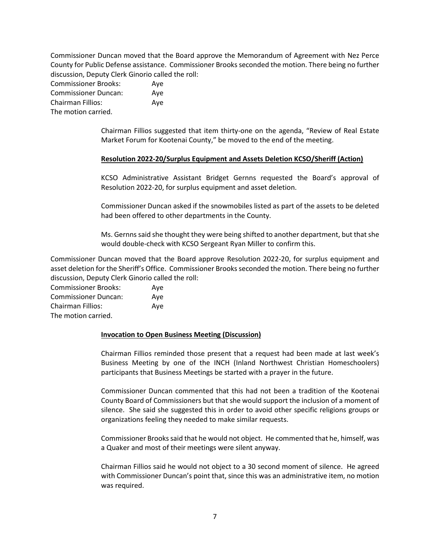Commissioner Duncan moved that the Board approve the Memorandum of Agreement with Nez Perce County for Public Defense assistance. Commissioner Brooks seconded the motion. There being no further discussion, Deputy Clerk Ginorio called the roll:

| <b>Commissioner Brooks:</b> | Aye |
|-----------------------------|-----|
| <b>Commissioner Duncan:</b> | Ave |
| <b>Chairman Fillios:</b>    | Aye |
| The motion carried.         |     |

Chairman Fillios suggested that item thirty-one on the agenda, "Review of Real Estate Market Forum for Kootenai County," be moved to the end of the meeting.

### **Resolution 2022-20/Surplus Equipment and Assets Deletion KCSO/Sheriff (Action)**

KCSO Administrative Assistant Bridget Gernns requested the Board's approval of Resolution 2022-20, for surplus equipment and asset deletion.

Commissioner Duncan asked if the snowmobiles listed as part of the assets to be deleted had been offered to other departments in the County.

Ms. Gernns said she thought they were being shifted to another department, but that she would double-check with KCSO Sergeant Ryan Miller to confirm this.

Commissioner Duncan moved that the Board approve Resolution 2022-20, for surplus equipment and asset deletion for the Sheriff's Office. Commissioner Brooks seconded the motion. There being no further discussion, Deputy Clerk Ginorio called the roll:

| <b>Commissioner Brooks:</b> | Ave |
|-----------------------------|-----|
| <b>Commissioner Duncan:</b> | Ave |
| Chairman Fillios:           | Ave |
| The motion carried.         |     |

### **Invocation to Open Business Meeting (Discussion)**

Chairman Fillios reminded those present that a request had been made at last week's Business Meeting by one of the INCH (Inland Northwest Christian Homeschoolers) participants that Business Meetings be started with a prayer in the future.

Commissioner Duncan commented that this had not been a tradition of the Kootenai County Board of Commissioners but that she would support the inclusion of a moment of silence. She said she suggested this in order to avoid other specific religions groups or organizations feeling they needed to make similar requests.

Commissioner Brooks said that he would not object. He commented that he, himself, was a Quaker and most of their meetings were silent anyway.

Chairman Fillios said he would not object to a 30 second moment of silence. He agreed with Commissioner Duncan's point that, since this was an administrative item, no motion was required.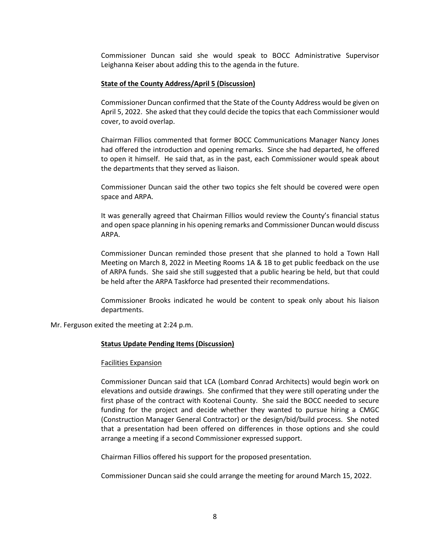Commissioner Duncan said she would speak to BOCC Administrative Supervisor Leighanna Keiser about adding this to the agenda in the future.

### **State of the County Address/April 5 (Discussion)**

Commissioner Duncan confirmed that the State of the County Address would be given on April 5, 2022. She asked that they could decide the topics that each Commissioner would cover, to avoid overlap.

Chairman Fillios commented that former BOCC Communications Manager Nancy Jones had offered the introduction and opening remarks. Since she had departed, he offered to open it himself. He said that, as in the past, each Commissioner would speak about the departments that they served as liaison.

Commissioner Duncan said the other two topics she felt should be covered were open space and ARPA.

It was generally agreed that Chairman Fillios would review the County's financial status and open space planning in his opening remarks and Commissioner Duncan would discuss ARPA.

Commissioner Duncan reminded those present that she planned to hold a Town Hall Meeting on March 8, 2022 in Meeting Rooms 1A & 1B to get public feedback on the use of ARPA funds. She said she still suggested that a public hearing be held, but that could be held after the ARPA Taskforce had presented their recommendations.

Commissioner Brooks indicated he would be content to speak only about his liaison departments.

Mr. Ferguson exited the meeting at 2:24 p.m.

### **Status Update Pending Items (Discussion)**

### Facilities Expansion

Commissioner Duncan said that LCA (Lombard Conrad Architects) would begin work on elevations and outside drawings. She confirmed that they were still operating under the first phase of the contract with Kootenai County. She said the BOCC needed to secure funding for the project and decide whether they wanted to pursue hiring a CMGC (Construction Manager General Contractor) or the design/bid/build process. She noted that a presentation had been offered on differences in those options and she could arrange a meeting if a second Commissioner expressed support.

Chairman Fillios offered his support for the proposed presentation.

Commissioner Duncan said she could arrange the meeting for around March 15, 2022.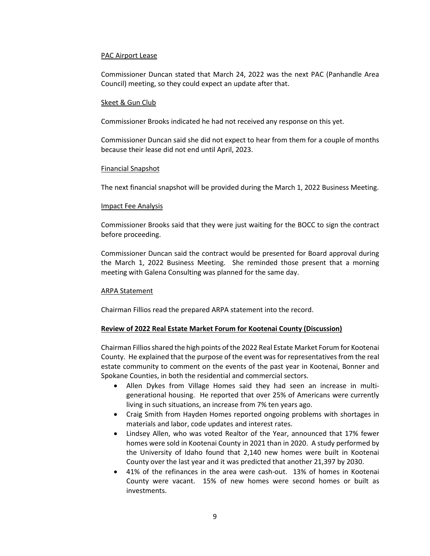### PAC Airport Lease

Commissioner Duncan stated that March 24, 2022 was the next PAC (Panhandle Area Council) meeting, so they could expect an update after that.

### Skeet & Gun Club

Commissioner Brooks indicated he had not received any response on this yet.

Commissioner Duncan said she did not expect to hear from them for a couple of months because their lease did not end until April, 2023.

### Financial Snapshot

The next financial snapshot will be provided during the March 1, 2022 Business Meeting.

### Impact Fee Analysis

Commissioner Brooks said that they were just waiting for the BOCC to sign the contract before proceeding.

Commissioner Duncan said the contract would be presented for Board approval during the March 1, 2022 Business Meeting. She reminded those present that a morning meeting with Galena Consulting was planned for the same day.

#### ARPA Statement

Chairman Fillios read the prepared ARPA statement into the record.

### **Review of 2022 Real Estate Market Forum for Kootenai County (Discussion)**

Chairman Fillios shared the high points of the 2022 Real Estate Market Forum for Kootenai County. He explained that the purpose of the event was for representatives from the real estate community to comment on the events of the past year in Kootenai, Bonner and Spokane Counties, in both the residential and commercial sectors.

- Allen Dykes from Village Homes said they had seen an increase in multigenerational housing. He reported that over 25% of Americans were currently living in such situations, an increase from 7% ten years ago.
- Craig Smith from Hayden Homes reported ongoing problems with shortages in materials and labor, code updates and interest rates.
- Lindsey Allen, who was voted Realtor of the Year, announced that 17% fewer homes were sold in Kootenai County in 2021 than in 2020. A study performed by the University of Idaho found that 2,140 new homes were built in Kootenai County over the last year and it was predicted that another 21,397 by 2030.
- 41% of the refinances in the area were cash-out. 13% of homes in Kootenai County were vacant. 15% of new homes were second homes or built as investments.